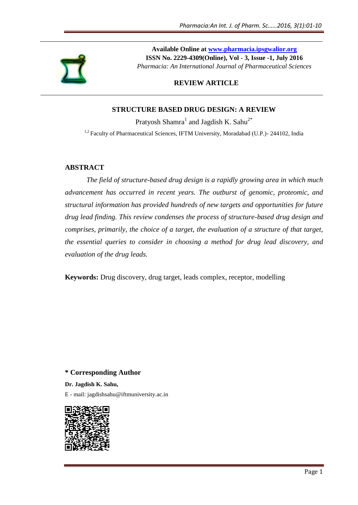

**Available Online at [www.pharmacia.ipsgwalior.org](http://www.pharmacia.ipsgwalior.org/) ISSN No. 2229-4309(Online), Vol - 3, Issue -1, July 2016** *Pharmacia: An International Journal of Pharmaceutical Sciences*

## **REVIEW ARTICLE**

# **STRUCTURE BASED DRUG DESIGN: A REVIEW**

Pratyosh Shamra<sup>1</sup> and Jagdish K. Sahu<sup>2\*</sup> <sup>1,2</sup> Faculty of Pharmaceutical Sciences, IFTM University, Moradabad (U.P.)- 244102, India

## **ABSTRACT**

*The field of structure-based drug design is a rapidly growing area in which much advancement has occurred in recent years. The outburst of genomic, proteomic, and structural information has provided hundreds of new targets and opportunities for future drug lead finding. This review condenses the process of structure-based drug design and comprises, primarily, the choice of a target, the evaluation of a structure of that target, the essential queries to consider in choosing a method for drug lead discovery, and evaluation of the drug leads.* 

**Keywords:** Drug discovery, drug target, leads complex, receptor, modelling

#### **\* Corresponding Author**

**Dr. Jagdish K. Sahu,** E - mail: jagdishsahu@iftmuniversity.ac.in

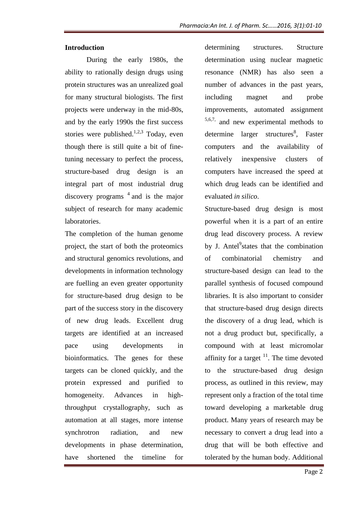#### **Introduction**

During the early 1980s, the ability to rationally design drugs using protein structures was an unrealized goal for many structural biologists. The first projects were underway in the mid-80s, and by the early 1990s the first success stories were published. $1,2,3$  Today, even though there is still quite a bit of finetuning necessary to perfect the process, structure-based drug design is an integral part of most industrial drug discovery programs  $4$  and is the major subject of research for many academic laboratories.

The completion of the human genome project, the start of both the proteomics and structural genomics revolutions, and developments in information technology are fuelling an even greater opportunity for structure-based drug design to be part of the success story in the discovery of new drug leads. Excellent drug targets are identified at an increased pace using developments in bioinformatics. The genes for these targets can be cloned quickly, and the protein expressed and purified to homogeneity. Advances in highthroughput crystallography, such as automation at all stages, more intense synchrotron radiation, and new developments in phase determination, have shortened the timeline for

determining structures. Structure determination using nuclear magnetic resonance (NMR) has also seen a number of advances in the past years, including magnet and probe improvements, automated assignment 5,6,7, and new experimental methods to determine larger structures<sup>8</sup>, Faster computers and the availability of relatively inexpensive clusters of computers have increased the speed at which drug leads can be identified and evaluated *in silico*.

Structure-based drug design is most powerful when it is a part of an entire drug lead discovery process. A review by J. Antel<sup>9</sup> states that the combination of combinatorial chemistry and structure-based design can lead to the parallel synthesis of focused compound libraries. It is also important to consider that structure-based drug design directs the discovery of a drug lead, which is not a drug product but, specifically, a compound with at least micromolar affinity for a target  $11$ . The time devoted to the structure-based drug design process, as outlined in this review, may represent only a fraction of the total time toward developing a marketable drug product. Many years of research may be necessary to convert a drug lead into a drug that will be both effective and tolerated by the human body. Additional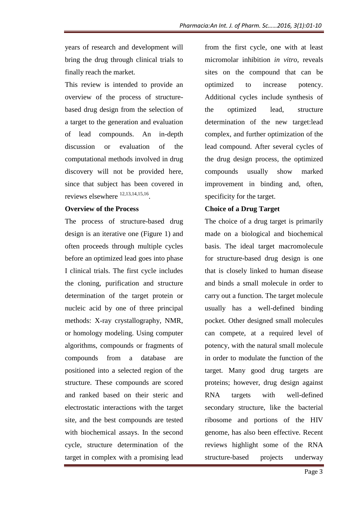years of research and development will bring the drug through clinical trials to finally reach the market.

This review is intended to provide an overview of the process of structurebased drug design from the selection of a target to the generation and evaluation of lead compounds. An in-depth discussion or evaluation of the computational methods involved in drug discovery will not be provided here, since that subject has been covered in reviews elsewhere  $^{12,13,14,15,16}$ .

#### **Overview of the Process**

The process of structure-based drug design is an iterative one [\(Figure 1\)](http://www.cell.com/cms/attachment/564488/4086244/gr1.gif) and often proceeds through multiple cycles before an optimized lead goes into phase I clinical trials. The first cycle includes the cloning, purification and structure determination of the target protein or nucleic acid by one of three principal methods: X-ray crystallography, NMR, or homology modeling. Using computer algorithms, compounds or fragments of compounds from a database are positioned into a selected region of the structure. These compounds are scored and ranked based on their steric and electrostatic interactions with the target site, and the best compounds are tested with biochemical assays. In the second cycle, structure determination of the target in complex with a promising lead

from the first cycle, one with at least micromolar inhibition *in vitro*, reveals sites on the compound that can be optimized to increase potency. Additional cycles include synthesis of the optimized lead, structure determination of the new target:lead complex, and further optimization of the lead compound. After several cycles of the drug design process, the optimized compounds usually show marked improvement in binding and, often, specificity for the target.

## **Choice of a Drug Target**

The choice of a drug target is primarily made on a biological and biochemical basis. The ideal target macromolecule for structure-based drug design is one that is closely linked to human disease and binds a small molecule in order to carry out a function. The target molecule usually has a well-defined binding pocket. Other designed small molecules can compete, at a required level of potency, with the natural small molecule in order to modulate the function of the target. Many good drug targets are proteins; however, drug design against RNA targets with well-defined secondary structure, like the bacterial ribosome and portions of the HIV genome, has also been effective. Recent reviews highlight some of the RNA structure-based projects underway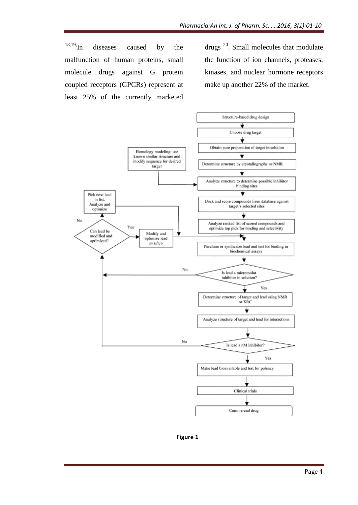18,19,In diseases caused by the malfunction of human proteins, small molecule drugs against G protein coupled receptors (GPCRs) represent at least 25% of the currently marketed

drugs <sup>20</sup>. Small molecules that modulate the function of ion channels, proteases, kinases, and nuclear hormone receptors make up another 22% of the market.



**Figure 1**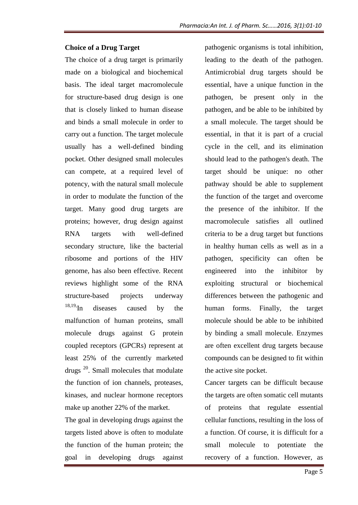### **Choice of a Drug Target**

The choice of a drug target is primarily made on a biological and biochemical basis. The ideal target macromolecule for structure-based drug design is one that is closely linked to human disease and binds a small molecule in order to carry out a function. The target molecule usually has a well-defined binding pocket. Other designed small molecules can compete, at a required level of potency, with the natural small molecule in order to modulate the function of the target. Many good drug targets are proteins; however, drug design against RNA targets with well-defined secondary structure, like the bacterial ribosome and portions of the HIV genome, has also been effective. Recent reviews highlight some of the RNA structure-based projects underway  $18,19$ . In diseases caused by the malfunction of human proteins, small molecule drugs against G protein coupled receptors (GPCRs) represent at least 25% of the currently marketed drugs<sup>20</sup>. Small molecules that modulate the function of ion channels, proteases, kinases, and nuclear hormone receptors make up another 22% of the market.

The goal in developing drugs against the targets listed above is often to modulate the function of the human protein; the goal in developing drugs against

pathogenic organisms is total inhibition, leading to the death of the pathogen. Antimicrobial drug targets should be essential, have a unique function in the pathogen, be present only in the pathogen, and be able to be inhibited by a small molecule. The target should be essential, in that it is part of a crucial cycle in the cell, and its elimination should lead to the pathogen's death. The target should be unique: no other pathway should be able to supplement the function of the target and overcome the presence of the inhibitor. If the macromolecule satisfies all outlined criteria to be a drug target but functions in healthy human cells as well as in a pathogen, specificity can often be engineered into the inhibitor by exploiting structural or biochemical differences between the pathogenic and human forms. Finally, the target molecule should be able to be inhibited by binding a small molecule. Enzymes are often excellent drug targets because compounds can be designed to fit within the active site pocket.

Cancer targets can be difficult because the targets are often somatic cell mutants of proteins that regulate essential cellular functions, resulting in the loss of a function. Of course, it is difficult for a small molecule to potentiate the recovery of a function. However, as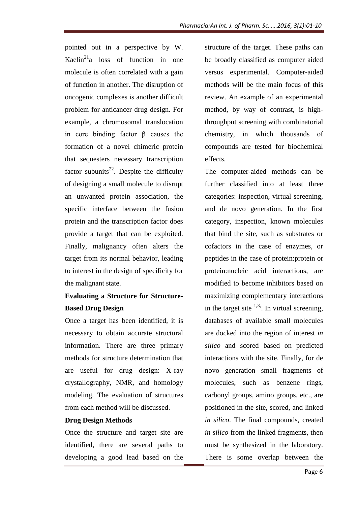pointed out in a perspective by W. Kaelin<sup>21</sup>a loss of function in one molecule is often correlated with a gain of function in another. The disruption of oncogenic complexes is another difficult problem for anticancer drug design. For example, a chromosomal translocation in core binding factor β causes the formation of a novel chimeric protein that sequesters necessary transcription factor subunits<sup>22</sup>. Despite the difficulty of designing a small molecule to disrupt an unwanted protein association, the specific interface between the fusion protein and the transcription factor does provide a target that can be exploited. Finally, malignancy often alters the target from its normal behavior, leading to interest in the design of specificity for the malignant state.

# **Evaluating a Structure for Structure-Based Drug Design**

Once a target has been identified, it is necessary to obtain accurate structural information. There are three primary methods for structure determination that are useful for drug design: X-ray crystallography, NMR, and homology modeling. The evaluation of structures from each method will be discussed.

## **Drug Design Methods**

Once the structure and target site are identified, there are several paths to developing a good lead based on the structure of the target. These paths can be broadly classified as computer aided versus experimental. Computer-aided methods will be the main focus of this review. An example of an experimental method, by way of contrast, is highthroughput screening with combinatorial chemistry, in which thousands of compounds are tested for biochemical effects.

The computer-aided methods can be further classified into at least three categories: inspection, virtual screening, and de novo generation. In the first category, inspection, known molecules that bind the site, such as substrates or cofactors in the case of enzymes, or peptides in the case of protein:protein or protein:nucleic acid interactions, are modified to become inhibitors based on maximizing complementary interactions in the target site  $1,3$ . In virtual screening, databases of available small molecules are docked into the region of interest *in silico* and scored based on predicted interactions with the site. Finally, for de novo generation small fragments of molecules, such as benzene rings, carbonyl groups, amino groups, etc., are positioned in the site, scored, and linked *in silico*. The final compounds, created *in silico* from the linked fragments, then must be synthesized in the laboratory. There is some overlap between the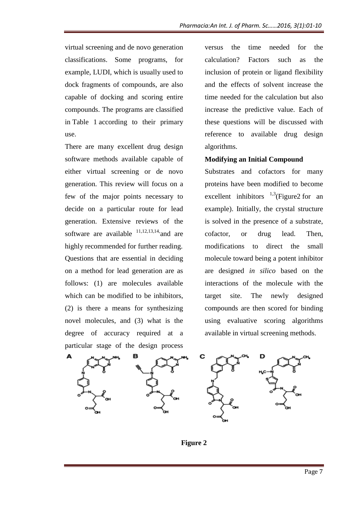virtual screening and de novo generation classifications. Some programs, for example, LUDI, which is usually used to dock fragments of compounds, are also capable of docking and scoring entire compounds. The programs are classified in [Table 1](http://www.cell.com/cell-chemical-biology/fulltext/S1074-5521(03)00194-7#title-footnote-TBL1) according to their primary use.

There are many excellent drug design software methods available capable of either virtual screening or de novo generation. This review will focus on a few of the major points necessary to decide on a particular route for lead generation. Extensive reviews of the software are available  $11,12,13,14$  and are highly recommended for further reading. Questions that are essential in deciding on a method for lead generation are as follows: (1) are molecules available which can be modified to be inhibitors, (2) is there a means for synthesizing novel molecules, and (3) what is the degree of accuracy required at a particular stage of the design process

versus the time needed for the calculation? Factors such as the inclusion of protein or ligand flexibility and the effects of solvent increase the time needed for the calculation but also increase the predictive value. Each of these questions will be discussed with reference to available drug design algorithms.

#### **Modifying an Initial Compound**

Substrates and cofactors for many proteins have been modified to become excellent inhibitors  $^{1,3}$ [\(Figure2](http://www.cell.com/cms/attachment/564488/4086247/gr2.gif) for an example). Initially, the crystal structure is solved in the presence of a substrate, cofactor, or drug lead. Then, modifications to direct the small molecule toward being a potent inhibitor are designed *in silico* based on the interactions of the molecule with the target site. The newly designed compounds are then scored for binding using evaluative scoring algorithms available in virtual screening methods.



**Figure 2**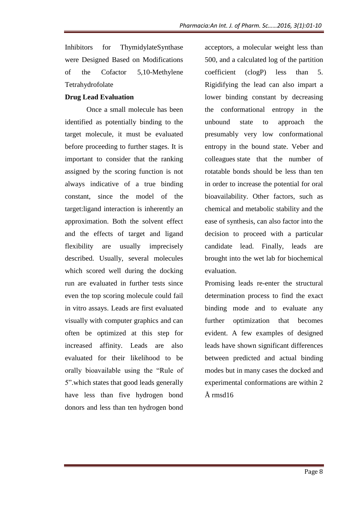Inhibitors for ThymidylateSynthase were Designed Based on Modifications of the Cofactor 5,10-Methylene Tetrahydrofolate

## **Drug Lead Evaluation**

Once a small molecule has been identified as potentially binding to the target molecule, it must be evaluated before proceeding to further stages. It is important to consider that the ranking assigned by the scoring function is not always indicative of a true binding constant, since the model of the target:ligand interaction is inherently an approximation. Both the solvent effect and the effects of target and ligand flexibility are usually imprecisely described. Usually, several molecules which scored well during the docking run are evaluated in further tests since even the top scoring molecule could fail in vitro assays. Leads are first evaluated visually with computer graphics and can often be optimized at this step for increased affinity. Leads are also evaluated for their likelihood to be orally bioavailable using the "Rule of 5".which states that good leads generally have less than five hydrogen bond donors and less than ten hydrogen bond

acceptors, a molecular weight less than 500, and a calculated log of the partition coefficient (clogP) less than 5. Rigidifying the lead can also impart a lower binding constant by decreasing the conformational entropy in the unbound state to approach the presumably very low conformational entropy in the bound state. Veber and colleagues state that the number of rotatable bonds should be less than ten in order to increase the potential for oral bioavailability. Other factors, such as chemical and metabolic stability and the ease of synthesis, can also factor into the decision to proceed with a particular candidate lead. Finally, leads are brought into the wet lab for biochemical evaluation.

Promising leads re-enter the structural determination process to find the exact binding mode and to evaluate any further optimization that becomes evident. A few examples of designed leads have shown significant differences between predicted and actual binding modes but in many cases the docked and experimental conformations are within 2 Å  $rmsd16$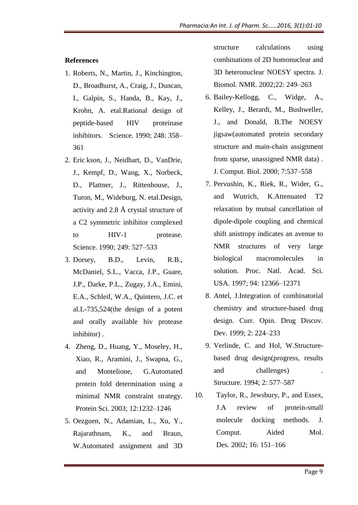#### **References**

- 1. Roberts, N., Martin, J., Kinchington, D., Broadhurst, A., Craig, J., Duncan, I., Galpin, S., Handa, B., Kay, J., Krohn, A. etal.Rational design of peptide-based HIV proteinase inhibitors. Science. 1990; 248: 358– 361
- 2. Eric kson, J., Neidhart, D., VanDrie, J., Kempf, D., Wang, X., Norbeck, D., Plattner, J., Rittenhouse, J., Turon, M., Wideburg, N. etal.Design, activity and 2.8 Å crystal structure of a C2 symmetric inhibitor complexed to HIV-1 protease. Science. 1990; 249: 527–533
- 3. Dorsey, B.D., Levin, R.B., McDaniel, S.L., Vacca, J.P., Guare, J.P., Darke, P.L., Zugay, J.A., Emini, E.A., Schleif, W.A., Quintero, J.C. et al.L-735,524(the design of a potent and orally available hiv protease inhibitor) .
- 4. Zheng, D., Huang, Y., Moseley, H., Xiao, R., Aramini, J., Swapna, G., and Montelione, G.Automated protein fold determination using a minimal NMR constraint strategy. Protein Sci. 2003; 12:1232–1246
- 5. Oezguen, N., Adamian, L., Xu, Y., Rajarathnam, K., and Braun, W.Automated assignment and 3D

structure calculations using combinations of 2D homonuclear and 3D heteronuclear NOESY spectra. J. Biomol. NMR. 2002;22: 249–263

- 6. Bailey-Kellogg, C., Widge, A., Kelley, J., Berardi, M., Bushweller, J., and Donald, B.The NOESY jigsaw(automated protein secondary structure and main-chain assignment from sparse, unassigned NMR data) . J. Comput. Biol. 2000; 7:537–558
- 7. Pervushin, K., Riek, R., Wider, G., and Wutrich, K.Attenuated T2 relaxation by mutual cancellation of dipole-dipole coupling and chemical shift anistropy indicates an avenue to NMR structures of very large biological macromolecules in solution. Proc. Natl. Acad. Sci. USA. 1997; 94: 12366–12371
- 8. Antel, J.Integration of combinatorial chemistry and structure-based drug design. Curr. Opin. Drug Discov. Dev. 1999; 2: 224–233
- 9. Verlinde, C. and Hol, W.Structurebased drug design(progress, results and challenges) Structure. 1994; 2: 577–587
- 10. Taylor, R., Jewsbury, P., and Essex, J.A review of protein-small molecule docking methods. J. Comput. Aided Mol. Des. 2002; 16: 151–166